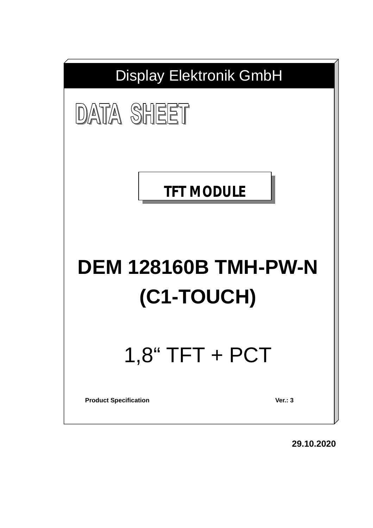

**29.10.2020**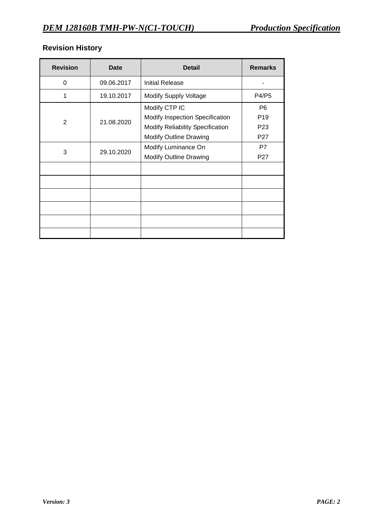# **Revision History**

| <b>Revision</b> | Date       | <b>Detail</b>                           | <b>Remarks</b>  |
|-----------------|------------|-----------------------------------------|-----------------|
| 0               | 09.06.2017 | <b>Initial Release</b>                  |                 |
| 1               | 19.10.2017 | <b>Modify Supply Voltage</b>            | P4/P5           |
|                 |            | Modify CTP IC                           | P <sub>6</sub>  |
|                 |            | Modify Inspection Specification         | P <sub>19</sub> |
| 2               | 21.08.2020 | <b>Modify Reliability Specification</b> | P <sub>23</sub> |
|                 |            | <b>Modify Outline Drawing</b>           | P <sub>27</sub> |
| 3               |            | Modify Luminance On                     | P7              |
|                 | 29.10.2020 | <b>Modify Outline Drawing</b>           | P <sub>27</sub> |
|                 |            |                                         |                 |
|                 |            |                                         |                 |
|                 |            |                                         |                 |
|                 |            |                                         |                 |
|                 |            |                                         |                 |
|                 |            |                                         |                 |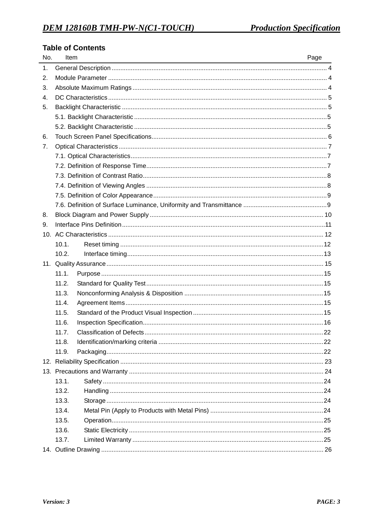### **Table of Contents**

| No.            | Item                                | Page |
|----------------|-------------------------------------|------|
| 1.             |                                     |      |
| 2.             |                                     |      |
| 3.             |                                     |      |
| $\mathbf{4}$ . |                                     |      |
| 5.             |                                     |      |
|                |                                     |      |
|                |                                     |      |
| 6.             |                                     |      |
| 7.             |                                     |      |
|                |                                     |      |
|                |                                     |      |
|                |                                     |      |
|                |                                     |      |
|                |                                     |      |
|                |                                     |      |
| 8.             |                                     |      |
| 9.             |                                     |      |
|                |                                     |      |
|                | 10.1.                               |      |
|                | 10.2.                               |      |
|                |                                     |      |
|                | 11.1.                               |      |
|                | 11.2.                               |      |
|                | 11.3.                               |      |
|                | 11.4.                               |      |
|                | 11.5.                               |      |
|                | 11.6.                               |      |
|                | Classification of Defects.<br>11.7. | 22   |
|                | 11.8.                               |      |
|                | 11.9.                               |      |
|                |                                     |      |
|                |                                     |      |
|                | 13.1.                               |      |
|                | 13.2.                               |      |
|                | 13.3.                               |      |
|                | 13.4.                               |      |
|                | 13.5.                               |      |
|                | 13.6.                               |      |
|                | 13.7.                               |      |
|                |                                     |      |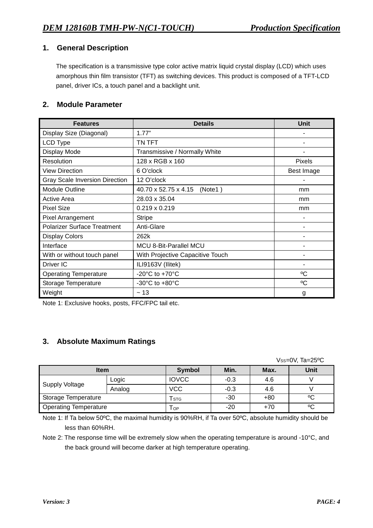### **1. General Description**

The specification is a transmissive type color active matrix liquid crystal display (LCD) which uses amorphous thin film transistor (TFT) as switching devices. This product is composed of a TFT-LCD panel, driver ICs, a touch panel and a backlight unit.

### **2. Module Parameter**

| <b>Features</b>                       | <b>Details</b>                       | <b>Unit</b>   |
|---------------------------------------|--------------------------------------|---------------|
| Display Size (Diagonal)               | 1.77"                                |               |
| <b>LCD Type</b>                       | TN TFT                               |               |
| Display Mode                          | Transmissive / Normally White        |               |
| Resolution                            | 128 x RGB x 160                      | <b>Pixels</b> |
| <b>View Direction</b>                 | 6 O'clock                            | Best Image    |
| <b>Gray Scale Inversion Direction</b> | 12 O'clock                           |               |
| <b>Module Outline</b>                 | 40.70 x 52.75 x 4.15<br>(Note1)      | mm            |
| Active Area                           | 28.03 x 35.04                        | mm            |
| <b>Pixel Size</b>                     | $0.219 \times 0.219$                 | mm            |
| <b>Pixel Arrangement</b>              | <b>Stripe</b>                        |               |
| <b>Polarizer Surface Treatment</b>    | Anti-Glare                           |               |
| <b>Display Colors</b>                 | 262k                                 |               |
| Interface                             | MCU 8-Bit-Parallel MCU               |               |
| With or without touch panel           | With Projective Capacitive Touch     |               |
| Driver IC                             | ILI9163V (Ilitek)                    | ٠             |
| <b>Operating Temperature</b>          | -20 $^{\circ}$ C to +70 $^{\circ}$ C | °C            |
| Storage Temperature                   | $-30^{\circ}$ C to $+80^{\circ}$ C   | °C            |
| Weight                                | ~13                                  | g             |

Note 1: Exclusive hooks, posts, FFC/FPC tail etc.

### **3. Absolute Maximum Ratings**

Vss=0V, Ta=25°C

| <b>Item</b>                  |        | <b>Symbol</b> | Min.   | Max.  | <b>Unit</b> |
|------------------------------|--------|---------------|--------|-------|-------------|
| Supply Voltage               | Logic  | <b>IOVCC</b>  | $-0.3$ | 4.6   |             |
|                              | Analog | <b>VCC</b>    | $-0.3$ | 4.6   |             |
| Storage Temperature          |        | <b>STG</b>    | $-30$  | $+80$ | °C          |
| <b>Operating Temperature</b> |        | OP            | $-20$  | $+70$ | °C          |

Note 1: If Ta below 50ºC, the maximal humidity is 90%RH, if Ta over 50ºC, absolute humidity should be less than 60%RH.

Note 2: The response time will be extremely slow when the operating temperature is around -10°C, and the back ground will become darker at high temperature operating.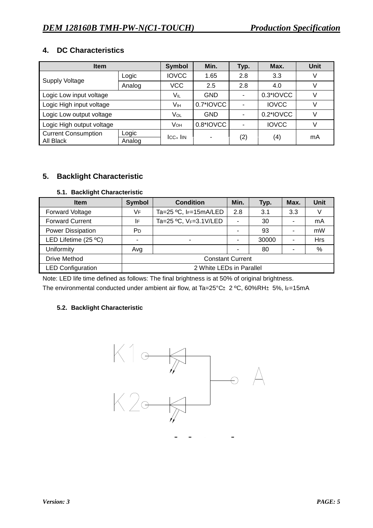### **4. DC Characteristics**

| <b>Item</b>                         | <b>Symbol</b> | Min.            | Typ.       | Max. | <b>Unit</b>  |    |
|-------------------------------------|---------------|-----------------|------------|------|--------------|----|
| Supply Voltage                      | Logic         | <b>IOVCC</b>    | 1.65       | 2.8  | 3.3          | V  |
|                                     | Analog        | <b>VCC</b>      | 2.5        | 2.8  | 4.0          |    |
| Logic Low input voltage             |               | V။∟             | <b>GND</b> |      | 0.3*IOVCC    | V  |
| Logic High input voltage            |               | Vıн             | 0.7*IOVCC  |      | <b>IOVCC</b> | V  |
| Logic Low output voltage            |               | VOL             | <b>GND</b> |      | 0.2*IOVCC    | V  |
| Logic High output voltage           |               | V <sub>OH</sub> | 0.8*IOVCC  |      | <b>IOVCC</b> | V  |
| <b>Current Consumption</b><br>Logic |               | $ICC+$ $IIN$    | -          | (2)  | (4)          | mA |
| All Black                           | Analog        |                 |            |      |              |    |

### **5. Backlight Characteristic**

### **5.1. Backlight Characteristic**

| <b>Item</b>              | <b>Symbol</b>           | <b>Condition</b>          | Min. | Typ.  | Max.           | <b>Unit</b> |
|--------------------------|-------------------------|---------------------------|------|-------|----------------|-------------|
| <b>Forward Voltage</b>   | VF                      | Ta=25 °C, IF=15mA/LED     | 2.8  | 3.1   | 3.3            |             |
| <b>Forward Current</b>   | I۴                      | Ta=25 °C, $V_F$ =3.1V/LED | ۰    | 30    | ۰              | mA          |
| <b>Power Dissipation</b> | P <sub>D</sub>          |                           |      | 93    |                | mW          |
| LED Lifetime (25 °C)     |                         |                           |      | 30000 |                | Hrs         |
| Uniformity               | Avg                     |                           |      | 80    | $\blacksquare$ | %           |
| <b>Drive Method</b>      | <b>Constant Current</b> |                           |      |       |                |             |
| <b>LED Configuration</b> |                         | 2 White LEDs in Parallel  |      |       |                |             |

Note: LED life time defined as follows: The final brightness is at 50% of original brightness.

The environmental conducted under ambient air flow, at Ta=25°C $\pm$ 2 °C, 60%RH $\pm$ 5%, IF=15mA

### **5.2. Backlight Characteristic**

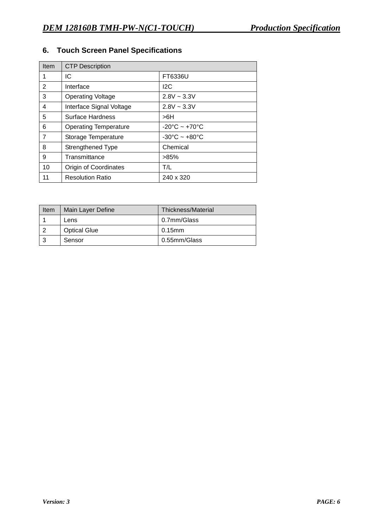# **6. Touch Screen Panel Specifications**

| Item | <b>CTP Description</b>       |                                   |
|------|------------------------------|-----------------------------------|
| 1    | IC                           | FT6336U                           |
| 2    | Interface                    | 12C                               |
| 3    | <b>Operating Voltage</b>     | $2.8V \sim 3.3V$                  |
| 4    | Interface Signal Voltage     | $2.8V - 3.3V$                     |
| 5    | Surface Hardness             | >6H                               |
| 6    | <b>Operating Temperature</b> | $-20^{\circ}$ C ~ $+70^{\circ}$ C |
| 7    | Storage Temperature          | $-30^{\circ}$ C ~ $+80^{\circ}$ C |
| 8    | Strengthened Type            | Chemical                          |
| 9    | Transmittance                | $>85\%$                           |
| 10   | Origin of Coordinates        | T/L                               |
| 11   | <b>Resolution Ratio</b>      | 240 x 320                         |

| <b>Item</b> | Main Layer Define   | Thickness/Material |
|-------------|---------------------|--------------------|
|             | Lens                | 0.7mm/Glass        |
|             | <b>Optical Glue</b> | $0.15$ mm          |
|             | Sensor              | 0.55mm/Glass       |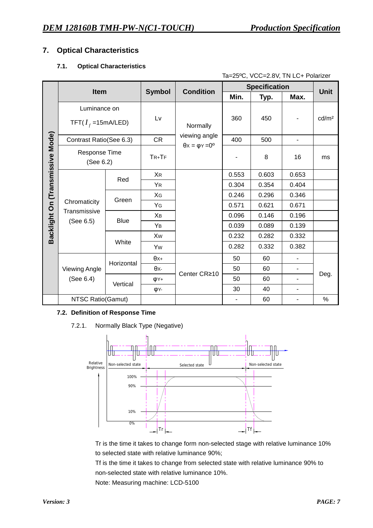### **7. Optical Characteristics**

### **7.1. Optical Characteristics**

|                                  | Ta=25°C, VCC=2.8V, TN LC+ Polarizer |             |                                                      |                  |       |                      |                          |                   |
|----------------------------------|-------------------------------------|-------------|------------------------------------------------------|------------------|-------|----------------------|--------------------------|-------------------|
|                                  | Item                                |             |                                                      | <b>Condition</b> |       | <b>Specification</b> |                          | <b>Unit</b>       |
|                                  |                                     |             | <b>Symbol</b>                                        |                  | Min.  | Typ.                 | Max.                     |                   |
|                                  | Luminance on                        |             |                                                      |                  |       |                      |                          |                   |
|                                  | TFT( $I_f$ =15mA/LED)               |             | Lv                                                   | Normally         | 360   | 450                  |                          | cd/m <sup>2</sup> |
|                                  | Contrast Ratio(See 6.3)             |             | <b>CR</b>                                            | viewing angle    | 400   | 500                  | $\overline{\phantom{0}}$ |                   |
| Backlight On (Transmissive Mode) | Response Time<br>(See 6.2)          |             | $\theta$ x = $\varphi$ Y = 0 <sup>o</sup><br>$TR+TF$ |                  |       | 8                    | 16                       | ms                |
|                                  |                                     | Red         | <b>XR</b>                                            |                  | 0.553 | 0.603                | 0.653                    |                   |
|                                  |                                     |             | <b>YR</b>                                            |                  | 0.304 | 0.354                | 0.404                    |                   |
|                                  |                                     | Green       | XG                                                   |                  | 0.246 | 0.296                | 0.346                    |                   |
|                                  | Chromaticity                        |             | YG                                                   |                  | 0.571 | 0.621                | 0.671                    |                   |
|                                  | Transmissive                        | <b>Blue</b> | Xв                                                   |                  | 0.096 | 0.146                | 0.196                    |                   |
|                                  | (See 6.5)                           |             | YB                                                   |                  | 0.039 | 0.089                | 0.139                    |                   |
|                                  |                                     |             | Xw                                                   |                  | 0.232 | 0.282                | 0.332                    |                   |
|                                  |                                     | White       | Yw                                                   |                  | 0.282 | 0.332                | 0.382                    |                   |
|                                  |                                     | Horizontal  | $\theta x+$                                          |                  | 50    | 60                   |                          |                   |
|                                  | <b>Viewing Angle</b>                |             | θх-                                                  |                  | 50    | 60                   |                          |                   |
|                                  | (See 6.4)                           | Vertical    | φY+                                                  | Center CR≥10     | 50    | 60                   | $\overline{\phantom{0}}$ | Deg.              |
|                                  |                                     |             | φY-                                                  |                  | 30    | 40                   | ٠                        |                   |
|                                  | NTSC Ratio(Gamut)                   |             |                                                      |                  |       | 60                   |                          | $\%$              |

### **7.2. Definition of Response Time**

7.2.1. Normally Black Type (Negative)



Tr is the time it takes to change form non-selected stage with relative luminance 10% to selected state with relative luminance 90%;

Tf is the time it takes to change from selected state with relative luminance 90% to non-selected state with relative luminance 10%.

Note: Measuring machine: LCD-5100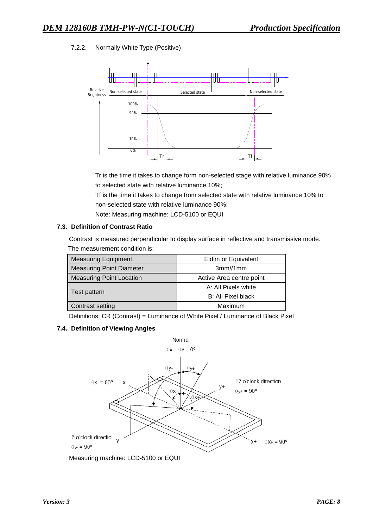### 7.2.2. Normally White Type (Positive)



Tr is the time it takes to change form non-selected stage with relative luminance 90% to selected state with relative luminance 10%;

Tf is the time it takes to change from selected state with relative luminance 10% to non-selected state with relative luminance 90%;

Note: Measuring machine: LCD-5100 or EQUI

#### **7.3. Definition of Contrast Ratio**

Contrast is measured perpendicular to display surface in reflective and transmissive mode. The measurement condition is:

| <b>Measuring Equipment</b>      | Eldim or Equivalent      |
|---------------------------------|--------------------------|
| <b>Measuring Point Diameter</b> | 3mm/1mm                  |
| <b>Measuring Point Location</b> | Active Area centre point |
|                                 | A: All Pixels white      |
| Test pattern                    | B: All Pixel black       |
| Contrast setting                | Maximum                  |

Definitions: CR (Contrast) = Luminance of White Pixel / Luminance of Black Pixel

#### **7.4. Definition of Viewing Angles**



Measuring machine: LCD-5100 or EQUI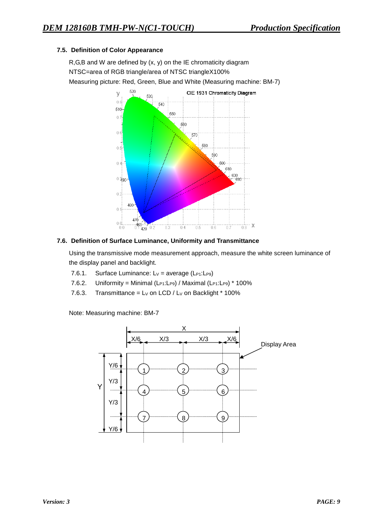### **7.5. Definition of Color Appearance**

R,G,B and W are defined by (x, y) on the IE chromaticity diagram NTSC=area of RGB triangle/area of NTSC triangleX100% Measuring picture: Red, Green, Blue and White (Measuring machine: BM-7)



### **7.6. Definition of Surface Luminance, Uniformity and Transmittance**

Using the transmissive mode measurement approach, measure the white screen luminance of the display panel and backlight.

- 7.6.1. Surface Luminance:  $Lv = average (L_{P1}:L_{P9})$
- 7.6.2. Uniformity = Minimal (L $P1:LP9)$  / Maximal (L $P1:LP9)$  \* 100%
- 7.6.3. Transmittance =  $Lv$  on LCD /  $Lv$  on Backlight  $*$  100%

Note: Measuring machine: BM-7

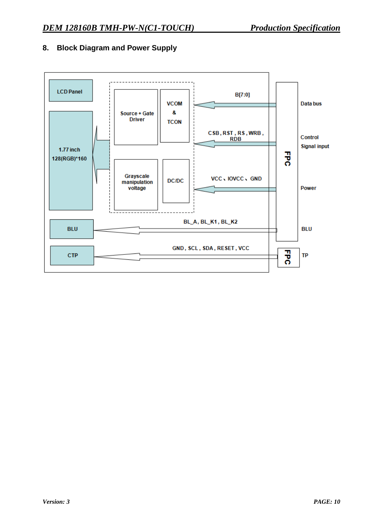

### **8. Block Diagram and Power Supply**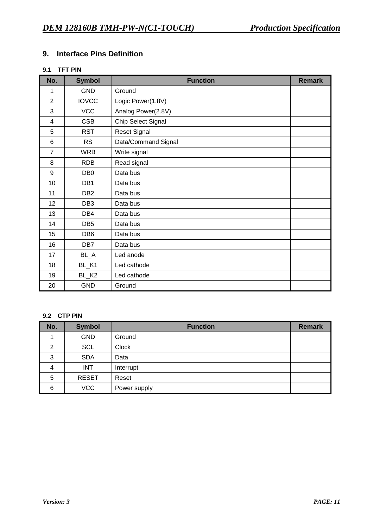### **9. Interface Pins Definition**

### **9.1 TFT PIN**

| No.                     | <b>Symbol</b>     | <b>Function</b>     | <b>Remark</b> |
|-------------------------|-------------------|---------------------|---------------|
| 1                       | <b>GND</b>        | Ground              |               |
| $\overline{2}$          | <b>IOVCC</b>      | Logic Power(1.8V)   |               |
| 3                       | <b>VCC</b>        | Analog Power(2.8V)  |               |
| $\overline{\mathbf{4}}$ | <b>CSB</b>        | Chip Select Signal  |               |
| 5                       | <b>RST</b>        | <b>Reset Signal</b> |               |
| 6                       | <b>RS</b>         | Data/Command Signal |               |
| $\overline{7}$          | <b>WRB</b>        | Write signal        |               |
| 8                       | <b>RDB</b>        | Read signal         |               |
| 9                       | DB <sub>0</sub>   | Data bus            |               |
| 10                      | DB1               | Data bus            |               |
| 11                      | DB <sub>2</sub>   | Data bus            |               |
| 12                      | DB <sub>3</sub>   | Data bus            |               |
| 13                      | DB4               | Data bus            |               |
| 14                      | DB <sub>5</sub>   | Data bus            |               |
| 15                      | DB <sub>6</sub>   | Data bus            |               |
| 16                      | DB <sub>7</sub>   | Data bus            |               |
| 17                      | $BL-A$            | Led anode           |               |
| 18                      | BL_K1             | Led cathode         |               |
| 19                      | BL_K <sub>2</sub> | Led cathode         |               |
| 20                      | <b>GND</b>        | Ground              |               |

#### **9.2 CTP PIN**

| No. | <b>Symbol</b> | <b>Function</b> | <b>Remark</b> |
|-----|---------------|-----------------|---------------|
|     | <b>GND</b>    | Ground          |               |
| 2   | <b>SCL</b>    | <b>Clock</b>    |               |
| 3   | <b>SDA</b>    | Data            |               |
| 4   | <b>INT</b>    | Interrupt       |               |
| 5   | <b>RESET</b>  | Reset           |               |
| 6   | <b>VCC</b>    | Power supply    |               |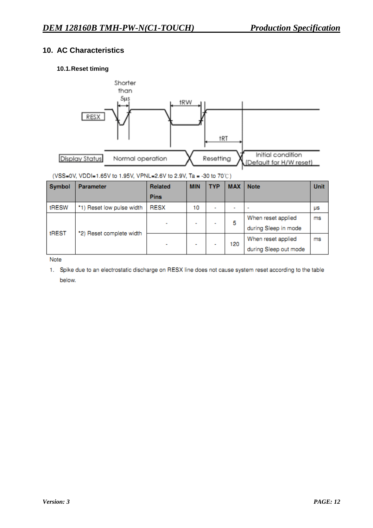### **10. AC Characteristics**

### **10.1.Reset timing**



#### (VSS=0V, VDDI=1.65V to 1.95V, VPNL=2.6V to 2.9V, Ta = -30 to 70°C)

| Symbol | <b>Parameter</b>          | <b>Related</b> | <b>MIN</b> | <b>TYP</b>               | <b>MAX</b>               | <b>Note</b>              | <b>Unit</b> |
|--------|---------------------------|----------------|------------|--------------------------|--------------------------|--------------------------|-------------|
|        |                           | <b>Pins</b>    |            |                          |                          |                          |             |
| tRESW  | *1) Reset low pulse width | <b>RESX</b>    | 10         | $\overline{\phantom{0}}$ | $\overline{\phantom{a}}$ | $\overline{\phantom{a}}$ | μs          |
| tREST  | *2) Reset complete width  |                | -          |                          | 5                        | When reset applied       | ms          |
|        |                           |                |            |                          |                          | during Sleep in mode     |             |
|        |                           |                |            |                          | 120                      | When reset applied       | ms          |
|        |                           |                | ۰          |                          |                          | during Sleep out mode    |             |

Note

1. Spike due to an electrostatic discharge on RESX line does not cause system reset according to the table below.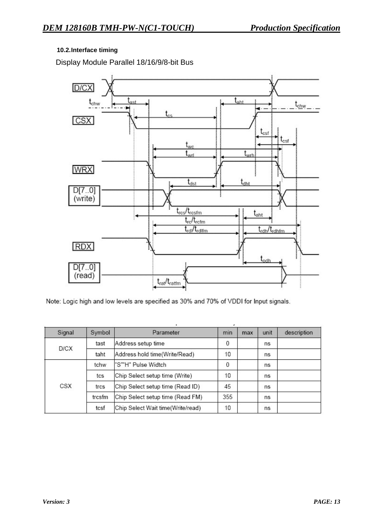### **10.2.Interface timing**

Display Module Parallel 18/16/9/8-bit Bus



Note: Logic high and low levels are specified as 30% and 70% of VDDI for Input signals.

| Signal | Symbol | Parameter                         | min | max | unit | description |
|--------|--------|-----------------------------------|-----|-----|------|-------------|
|        | tast   | Address setup time                |     |     | ns   |             |
| D/CX   | taht   | Address hold time(Write/Read)     | 10  |     | ns   |             |
|        | tchw   | "S""H" Pulse Widtch               | 0   |     | ns   |             |
|        | tcs    | Chip Select setup time (Write)    | 10  |     | ns   |             |
| CSX    | trcs   | Chip Select setup time (Read ID)  | 45  |     | ns   |             |
|        | trcsfm | Chip Select setup time (Read FM)  | 355 |     | ns   |             |
|        | tcsf   | Chip Select Wait time(Write/read) | 10  |     | ns   |             |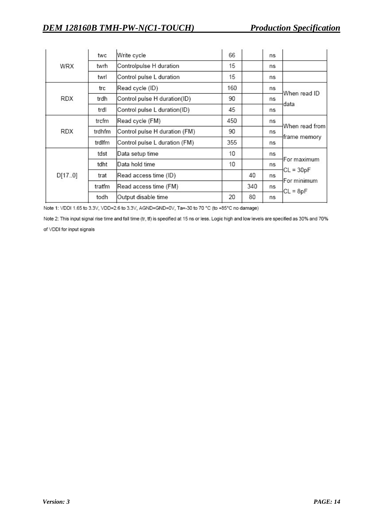|            | twc                                                                          | Write cycle                   | 66  |     | ns |                                |  |
|------------|------------------------------------------------------------------------------|-------------------------------|-----|-----|----|--------------------------------|--|
| WRX        | twrh                                                                         | Controlpulse H duration       | 15  |     | ns |                                |  |
|            | twrl                                                                         | Control pulse L duration      | 15  |     | ns |                                |  |
|            | trc                                                                          | Read cycle (ID)               | 160 |     | ns | When read ID                   |  |
| RDX        | Control pulse H duration(ID)<br>trdh<br>Control pulse L duration(ID)<br>trdl |                               | 90  |     | ns | data                           |  |
|            |                                                                              |                               | 45  |     | ns |                                |  |
|            | trcfm                                                                        | Read cycle (FM)               | 450 |     | ns | When read from<br>frame memory |  |
| <b>RDX</b> | trdhfm                                                                       | Control pulse H duration (FM) | 90  |     | ns |                                |  |
|            | trdlfm                                                                       | Control pulse L duration (FM) | 355 |     | ns |                                |  |
|            | tdst                                                                         | Data setup time               | 10  |     | ns | For maximum                    |  |
|            | tdht                                                                         | Data hold time                | 10  |     | ns |                                |  |
| D[170]     | trat                                                                         | Read access time (ID)         |     | 40  | ns | $CL = 30pF$<br>For minimum     |  |
|            | tratfm<br>Read access time (FM)                                              |                               |     | 340 | ns | $CL = 8pF$                     |  |
|            | todh                                                                         | Output disable time           | 20  | 80  | ns |                                |  |

Note 1: VDDI 1.65 to 3.3V, VDD=2.6 to 3.3V, AGND=GND=0V, Ta=-30 to 70 °C (to +85°C no damage)

Note 2: This input signal rise time and fall time (tr, tf) is specified at 15 ns or less. Logic high and low levels are specified as 30% and 70%

of VDDI for input signals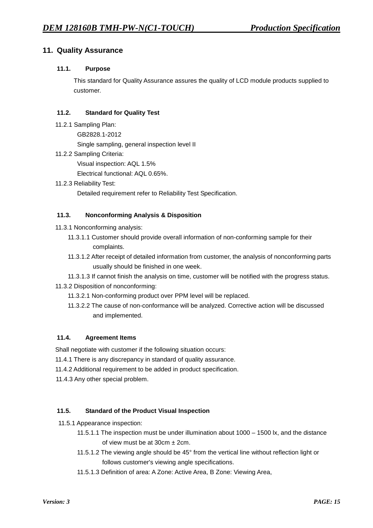### **11. Quality Assurance**

### **11.1. Purpose**

This standard for Quality Assurance assures the quality of LCD module products supplied to customer.

#### **11.2. Standard for Quality Test**

- 11.2.1 Sampling Plan:
	- GB2828.1-2012

Single sampling, general inspection level II

11.2.2 Sampling Criteria:

Visual inspection: AQL 1.5%

Electrical functional: AQL 0.65%.

 11.2.3 Reliability Test: Detailed requirement refer to Reliability Test Specification.

### **11.3. Nonconforming Analysis & Disposition**

- 11.3.1 Nonconforming analysis:
	- 11.3.1.1 Customer should provide overall information of non-conforming sample for their complaints.
	- 11.3.1.2 After receipt of detailed information from customer, the analysis of nonconforming parts usually should be finished in one week.

 11.3.1.3 If cannot finish the analysis on time, customer will be notified with the progress status. 11.3.2 Disposition of nonconforming:

- 11.3.2.1 Non-conforming product over PPM level will be replaced.
- 11.3.2.2 The cause of non-conformance will be analyzed. Corrective action will be discussed and implemented.

### **11.4. Agreement Items**

Shall negotiate with customer if the following situation occurs:

- 11.4.1 There is any discrepancy in standard of quality assurance.
- 11.4.2 Additional requirement to be added in product specification.
- 11.4.3 Any other special problem.

#### **11.5. Standard of the Product Visual Inspection**

- 11.5.1 Appearance inspection:
	- 11.5.1.1 The inspection must be under illumination about 1000 1500 lx, and the distance of view must be at  $30cm \pm 2cm$ .
	- 11.5.1.2 The viewing angle should be 45° from the vertical line without reflection light or follows customer's viewing angle specifications.
	- 11.5.1.3 Definition of area: A Zone: Active Area, B Zone: Viewing Area,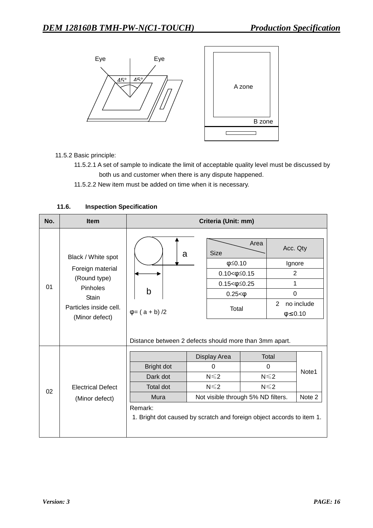

11.5.2 Basic principle:

- 11.5.2.1 A set of sample to indicate the limit of acceptable quality level must be discussed by both us and customer when there is any dispute happened.
- 11.5.2.2 New item must be added on time when it is necessary.

| No. | <b>Item</b>                                                                                                                    | Criteria (Unit: mm)                                                                       |                                                                                                                                                                                                               |                                                                                                          |  |                                                                                                           |  |  |
|-----|--------------------------------------------------------------------------------------------------------------------------------|-------------------------------------------------------------------------------------------|---------------------------------------------------------------------------------------------------------------------------------------------------------------------------------------------------------------|----------------------------------------------------------------------------------------------------------|--|-----------------------------------------------------------------------------------------------------------|--|--|
| 01  | Black / White spot<br>Foreign material<br>(Round type)<br>Pinholes<br><b>Stain</b><br>Particles inside cell.<br>(Minor defect) | a<br>b<br>$\varphi = (a + b)/2$<br>Distance between 2 defects should more than 3mm apart. | <b>Size</b>                                                                                                                                                                                                   | Area<br>$\phi \leq 0.10$<br>$0.10 < \phi \leq 0.15$<br>$0.15 < \phi \leq 0.25$<br>$0.25 < \phi$<br>Total |  | Acc. Qty<br>Ignore<br>$\overline{2}$<br>1<br>$\Omega$<br>$\overline{2}$<br>no include<br>$\phi \leq 0.10$ |  |  |
| 02  | <b>Electrical Defect</b><br>(Minor defect)                                                                                     | Bright dot<br>Dark dot<br><b>Total dot</b><br>Mura<br>Remark:                             | Display Area<br>Total<br>$\Omega$<br>0<br>$N \leq 2$<br>$N \leq 2$<br>$N \leq 2$<br>$N \leq 2$<br>Not visible through 5% ND filters.<br>1. Bright dot caused by scratch and foreign object accords to item 1. |                                                                                                          |  | Note1<br>Note 2                                                                                           |  |  |

#### **11.6. Inspection Specification**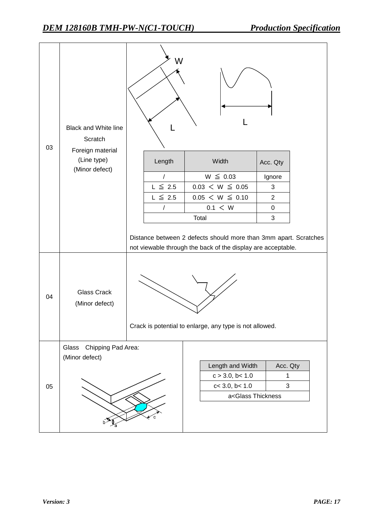| 03 | <b>Black and White line</b><br>Scratch<br>Foreign material | W                                                       |                                                                                                                                  |                |  |  |
|----|------------------------------------------------------------|---------------------------------------------------------|----------------------------------------------------------------------------------------------------------------------------------|----------------|--|--|
|    | (Line type)                                                | Length                                                  | Width                                                                                                                            | Acc. Qty       |  |  |
|    | (Minor defect)                                             | $\sqrt{ }$                                              | $W \leq 0.03$                                                                                                                    | Ignore         |  |  |
|    |                                                            | $L \leq 2.5$                                            | $0.03 < W \leq 0.05$                                                                                                             | 3              |  |  |
|    |                                                            | $L \leq 2.5$                                            | $0.05 < W \leq 0.10$                                                                                                             | $\overline{2}$ |  |  |
|    |                                                            | 1                                                       | 0.1 < W                                                                                                                          | $\pmb{0}$      |  |  |
|    |                                                            |                                                         | Total                                                                                                                            | 3              |  |  |
|    |                                                            |                                                         | Distance between 2 defects should more than 3mm apart. Scratches<br>not viewable through the back of the display are acceptable. |                |  |  |
| 04 | <b>Glass Crack</b><br>(Minor defect)                       | Crack is potential to enlarge, any type is not allowed. |                                                                                                                                  |                |  |  |
|    | Chipping Pad Area:<br>Glass                                |                                                         |                                                                                                                                  |                |  |  |
|    | (Minor defect)                                             |                                                         | Length and Width                                                                                                                 | Acc. Qty       |  |  |
|    |                                                            |                                                         | c > 3.0, b < 1.0                                                                                                                 | 1              |  |  |
| 05 |                                                            |                                                         | c < 3.0, b < 1.0                                                                                                                 | 3              |  |  |
|    |                                                            |                                                         | a <glass td="" thickness<=""><td></td><td></td></glass>                                                                          |                |  |  |
|    |                                                            |                                                         |                                                                                                                                  |                |  |  |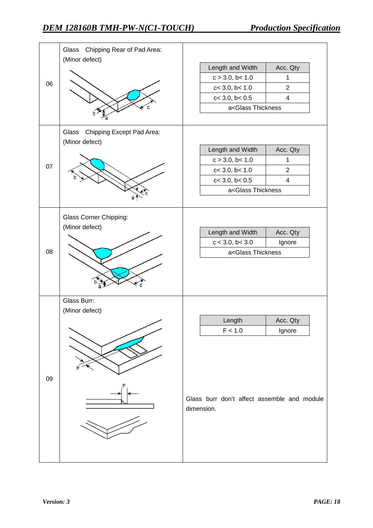|    | Chipping Rear of Pad Area:<br>Glass<br>(Minor defect) |                                                           |                    |
|----|-------------------------------------------------------|-----------------------------------------------------------|--------------------|
|    |                                                       | Length and Width                                          | Acc. Qty           |
|    |                                                       | c > 3.0, b < 1.0                                          | 1                  |
| 06 |                                                       | c < 3.0, b < 1.0                                          | 2                  |
|    |                                                       | $c<$ 3.0, $b<$ 0.5                                        | $\overline{4}$     |
|    |                                                       | a <glass td="" thickness<=""><td></td></glass>            |                    |
|    |                                                       |                                                           |                    |
|    | Chipping Except Pad Area:<br>Glass<br>(Minor defect)  |                                                           |                    |
|    |                                                       | Length and Width                                          | Acc. Qty           |
| 07 |                                                       | c > 3.0, b < 1.0                                          | 1                  |
|    |                                                       | c < 3.0, b < 1.0                                          | $\overline{2}$     |
|    |                                                       | $c<$ 3.0, $b<$ 0.5                                        | $\overline{4}$     |
|    |                                                       | a <glass td="" thickness<=""><td></td></glass>            |                    |
|    |                                                       |                                                           |                    |
|    | <b>Glass Corner Chipping:</b><br>(Minor defect)       |                                                           |                    |
|    |                                                       | Length and Width<br>c < 3.0, b < 3.0                      | Acc. Qty<br>Ignore |
| 08 |                                                       | a <glass td="" thickness<=""><td></td></glass>            |                    |
|    |                                                       |                                                           |                    |
|    | Glass Burr:                                           |                                                           |                    |
|    | (Minor defect)                                        |                                                           |                    |
|    |                                                       | Length                                                    | Acc. Qty           |
|    |                                                       | F < 1.0                                                   | Ignore             |
| 09 |                                                       |                                                           |                    |
|    |                                                       | Glass burr don't affect assemble and module<br>dimension. |                    |
|    |                                                       |                                                           |                    |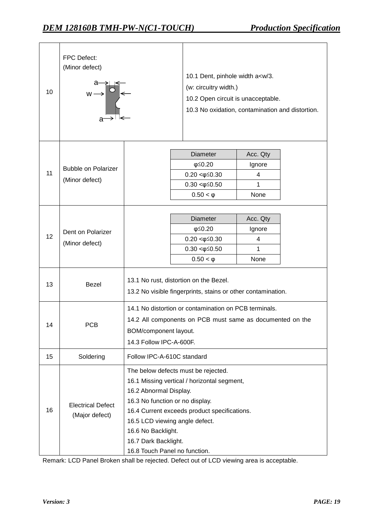| 10 | FPC Defect:<br>(Minor defect)<br>$\begin{picture}(180,10) \put(0,0){\line(1,0){10}} \put(10,0){\line(1,0){10}} \put(10,0){\line(1,0){10}} \put(10,0){\line(1,0){10}} \put(10,0){\line(1,0){10}} \put(10,0){\line(1,0){10}} \put(10,0){\line(1,0){10}} \put(10,0){\line(1,0){10}} \put(10,0){\line(1,0){10}} \put(10,0){\line(1,0){10}} \put(10,0){\line(1,0){10}} \put(10,0){\line($ |                                                                                                                                                                                                                                                                                                                  |                                                                                                        | 10.1 Dent, pinhole width a <w 3.<br="">(w: circuitry width.)<br/>10.2 Open circuit is unacceptable.<br/>10.3 No oxidation, contamination and distortion.</w> |  |  |
|----|--------------------------------------------------------------------------------------------------------------------------------------------------------------------------------------------------------------------------------------------------------------------------------------------------------------------------------------------------------------------------------------|------------------------------------------------------------------------------------------------------------------------------------------------------------------------------------------------------------------------------------------------------------------------------------------------------------------|--------------------------------------------------------------------------------------------------------|--------------------------------------------------------------------------------------------------------------------------------------------------------------|--|--|
| 11 | <b>Bubble on Polarizer</b><br>(Minor defect)                                                                                                                                                                                                                                                                                                                                         |                                                                                                                                                                                                                                                                                                                  | Diameter<br>$\varphi \leq 0.20$<br>$0.20 < \phi \leq 0.30$<br>$0.30 < \phi \leq 0.50$<br>$0.50 < \phi$ | Acc. Qty<br>Ignore<br>4<br>1<br>None                                                                                                                         |  |  |
| 12 | Dent on Polarizer<br>(Minor defect)                                                                                                                                                                                                                                                                                                                                                  |                                                                                                                                                                                                                                                                                                                  | Diameter<br>φ<br>$6.20$<br>$0.20 < \phi \leq 0.30$<br>$0.30 < \phi \leq 0.50$<br>                      | Acc. Qty<br>Ignore<br>4<br>1<br>None                                                                                                                         |  |  |
| 13 | Bezel                                                                                                                                                                                                                                                                                                                                                                                | 13.1 No rust, distortion on the Bezel.<br>13.2 No visible fingerprints, stains or other contamination.                                                                                                                                                                                                           |                                                                                                        |                                                                                                                                                              |  |  |
| 14 | PCR                                                                                                                                                                                                                                                                                                                                                                                  | 14.1 No distortion or contamination on PCB terminals.<br>14.2 All components on PCB must same as documented on the<br>BOM/component layout.<br>14.3 Follow IPC-A-600F.                                                                                                                                           |                                                                                                        |                                                                                                                                                              |  |  |
| 15 | Soldering                                                                                                                                                                                                                                                                                                                                                                            | Follow IPC-A-610C standard                                                                                                                                                                                                                                                                                       |                                                                                                        |                                                                                                                                                              |  |  |
| 16 | <b>Electrical Defect</b><br>(Major defect)                                                                                                                                                                                                                                                                                                                                           | The below defects must be rejected.<br>16.1 Missing vertical / horizontal segment,<br>16.2 Abnormal Display.<br>16.3 No function or no display.<br>16.4 Current exceeds product specifications.<br>16.5 LCD viewing angle defect.<br>16.6 No Backlight.<br>16.7 Dark Backlight.<br>16.8 Touch Panel no function. |                                                                                                        |                                                                                                                                                              |  |  |

Remark: LCD Panel Broken shall be rejected. Defect out of LCD viewing area is acceptable.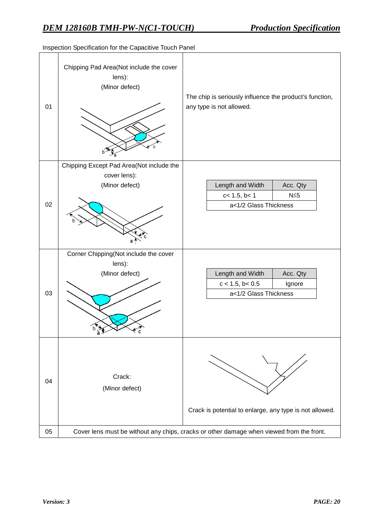| 01 | Chipping Pad Area(Not include the cover<br>lens):<br>(Minor defect) | The chip is seriously influence the product's function,<br>any type is not allowed.      |
|----|---------------------------------------------------------------------|------------------------------------------------------------------------------------------|
|    | Chipping Except Pad Area(Not include the                            |                                                                                          |
|    | cover lens):<br>(Minor defect)                                      | Length and Width<br>Acc. Qty                                                             |
|    |                                                                     | c< 1.5, b< 1<br>$N\leq 5$                                                                |
| 02 |                                                                     | a<1/2 Glass Thickness                                                                    |
|    |                                                                     |                                                                                          |
|    | Corner Chipping(Not include the cover                               |                                                                                          |
|    | lens):<br>(Minor defect)                                            | Length and Width<br>Acc. Qty                                                             |
|    |                                                                     | $c < 1.5$ , $b < 0.5$<br>Ignore                                                          |
| 03 |                                                                     | a<1/2 Glass Thickness                                                                    |
|    |                                                                     |                                                                                          |
| 04 | Crack:<br>(Minor defect)                                            |                                                                                          |
|    |                                                                     | Crack is potential to enlarge, any type is not allowed.                                  |
| 05 |                                                                     | Cover lens must be without any chips, cracks or other damage when viewed from the front. |

Inspection Specification for the Capacitive Touch Panel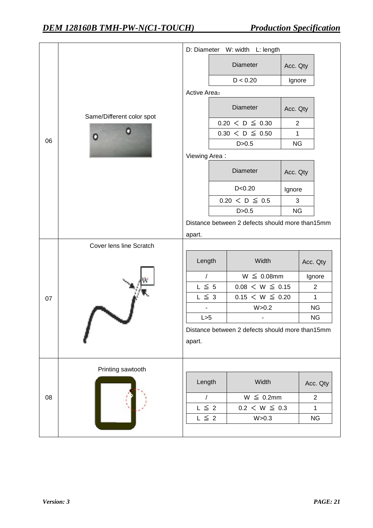|    |                           |               | D: Diameter W: width L: length                  |                |                        |
|----|---------------------------|---------------|-------------------------------------------------|----------------|------------------------|
|    |                           |               | Diameter                                        | Acc. Qty       |                        |
|    |                           |               | D < 0.20                                        | Ignore         |                        |
|    |                           | Active Area:  |                                                 |                |                        |
|    | Same/Different color spot |               | Diameter                                        | Acc. Qty       |                        |
|    |                           |               | $0.20 < D \leq 0.30$                            | $\overline{2}$ |                        |
| 06 |                           |               | $0.30 \le D \le 0.50$                           | $\mathbf{1}$   |                        |
|    |                           |               | D > 0.5                                         | <b>NG</b>      |                        |
|    |                           | Viewing Area: |                                                 |                |                        |
|    |                           |               | Diameter                                        | Acc. Qty       |                        |
|    |                           |               | D < 0.20                                        | Ignore         |                        |
|    |                           |               | $0.20 \le D \le 0.5$                            | 3              |                        |
|    |                           |               | D > 0.5                                         | <b>NG</b>      |                        |
|    |                           |               | Distance between 2 defects should more than15mm |                |                        |
|    |                           | apart.        |                                                 |                |                        |
|    | Cover lens line Scratch   |               |                                                 |                |                        |
|    |                           | Length        | Width                                           |                | Acc. Qty               |
|    |                           | 1             | $W \leq 0.08$ mm                                |                | Ignore                 |
|    |                           | $L \leq 5$    | $0.08 < W \leq 0.15$                            |                | $\overline{c}$         |
| 07 |                           | $L \leq 3$    | $0.15 < W \leq 0.20$                            |                | $\mathbf{1}$           |
|    |                           | ÷,<br>L > 5   | W > 0.2                                         |                | <b>NG</b><br><b>NG</b> |
|    |                           |               |                                                 |                |                        |
|    |                           |               | Distance between 2 defects should more than15mm |                |                        |
|    |                           | apart.        |                                                 |                |                        |
|    | Printing sawtooth         |               |                                                 |                |                        |
|    |                           | Length        | Width                                           |                | Acc. Qty               |
| 08 |                           | $\sqrt{2}$    | $W \leq 0.2$ mm                                 |                | $\overline{2}$         |
|    |                           | $L \leq 2$    | $0.2 < W \leq 0.3$                              |                | $\mathbf{1}$           |
|    |                           | $L \leq 2$    | W > 0.3                                         |                | <b>NG</b>              |
|    |                           |               |                                                 |                |                        |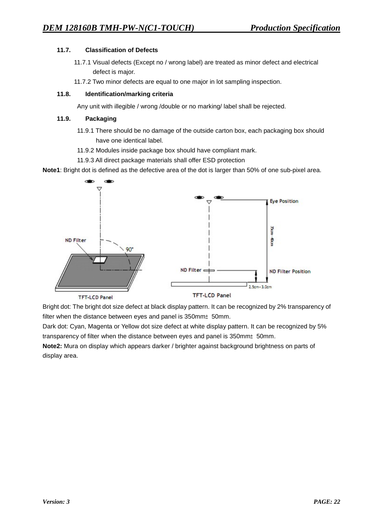### **11.7. Classification of Defects**

- 11.7.1 Visual defects (Except no / wrong label) are treated as minor defect and electrical defect is major.
- 11.7.2 Two minor defects are equal to one major in lot sampling inspection.

#### **11.8. Identification/marking criteria**

Any unit with illegible / wrong /double or no marking/ label shall be rejected.

#### **11.9. Packaging**

- 11.9.1 There should be no damage of the outside carton box, each packaging box should have one identical label.
- 11.9.2 Modules inside package box should have compliant mark.
- 11.9.3 All direct package materials shall offer ESD protection

**Note1**: Bright dot is defined as the defective area of the dot is larger than 50% of one sub-pixel area.



Bright dot: The bright dot size defect at black display pattern. It can be recognized by 2% transparency of filter when the distance between eyes and panel is 350mm±50mm.

Dark dot: Cyan, Magenta or Yellow dot size defect at white display pattern. It can be recognized by 5% transparency of filter when the distance between eyes and panel is 350mm±50mm.

**Note2:** Mura on display which appears darker / brighter against background brightness on parts of display area.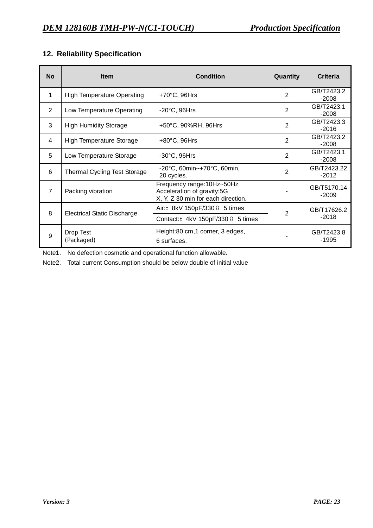# **12. Reliability Specification**

| <b>No</b>      | <b>Item</b>                         | <b>Condition</b>                                                                               | Quantity       | <b>Criteria</b>        |
|----------------|-------------------------------------|------------------------------------------------------------------------------------------------|----------------|------------------------|
| 1              | <b>High Temperature Operating</b>   | $+70^{\circ}$ C, 96Hrs                                                                         | $\overline{2}$ | GB/T2423.2<br>$-2008$  |
| 2              | Low Temperature Operating           | $-20^{\circ}$ C, 96Hrs                                                                         | $\overline{2}$ | GB/T2423.1<br>$-2008$  |
| 3              | <b>High Humidity Storage</b>        | +50°C, 90%RH, 96Hrs                                                                            | $\overline{2}$ | GB/T2423.3<br>-2016    |
| 4              | <b>High Temperature Storage</b>     | $+80^{\circ}$ C, 96Hrs                                                                         | $\overline{2}$ | GB/T2423.2<br>$-2008$  |
| 5              | Low Temperature Storage             | $-30^{\circ}$ C, 96Hrs                                                                         | $\mathbf{2}$   | GB/T2423.1<br>$-2008$  |
| 6              | <b>Thermal Cycling Test Storage</b> | $-20^{\circ}$ C, 60min~ $+70^{\circ}$ C, 60min,<br>20 cycles.                                  | $\overline{2}$ | GB/T2423.22<br>$-2012$ |
| $\overline{7}$ | Packing vibration                   | Frequency range: 10Hz~50Hz<br>Acceleration of gravity:5G<br>X, Y, Z 30 min for each direction. |                | GB/T5170.14<br>$-2009$ |
| 8              |                                     | Air: $\pm$ 8kV 150pF/330 $\Omega$ 5 times                                                      | $\overline{2}$ | GB/T17626.2            |
|                | <b>Electrical Static Discharge</b>  | Contact: $\pm$ 4kV 150pF/330 $\Omega$ 5 times                                                  |                | $-2018$                |
| 9              | Drop Test<br>(Packaged)             | Height:80 cm,1 corner, 3 edges,<br>6 surfaces.                                                 |                | GB/T2423.8<br>$-1995$  |

Note1. No defection cosmetic and operational function allowable.

Note2. Total current Consumption should be below double of initial value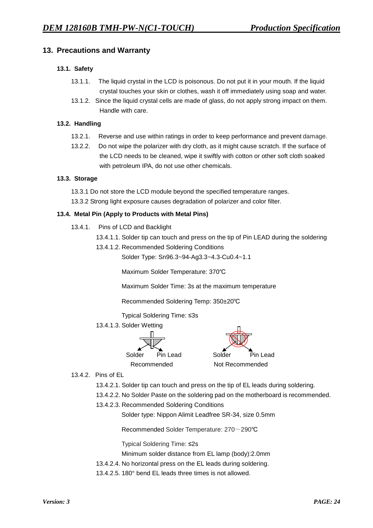### **13. Precautions and Warranty**

### **13.1. Safety**

- 13.1.1. The liquid crystal in the LCD is poisonous. Do not put it in your mouth. If the liquid crystal touches your skin or clothes, wash it off immediately using soap and water.
- 13.1.2. Since the liquid crystal cells are made of glass, do not apply strong impact on them. Handle with care.

#### **13.2. Handling**

- 13.2.1. Reverse and use within ratings in order to keep performance and prevent damage.
- 13.2.2. Do not wipe the polarizer with dry cloth, as it might cause scratch. If the surface of the LCD needs to be cleaned, wipe it swiftly with cotton or other soft cloth soaked with petroleum IPA, do not use other chemicals.

#### **13.3. Storage**

13.3.1 Do not store the LCD module beyond the specified temperature ranges.

13.3.2 Strong light exposure causes degradation of polarizer and color filter.

#### **13.4. Metal Pin (Apply to Products with Metal Pins)**

- 13.4.1. Pins of LCD and Backlight
	- 13.4.1.1. Solder tip can touch and press on the tip of Pin LEAD during the soldering
	- 13.4.1.2. Recommended Soldering Conditions

Solder Type: Sn96.3~94-Ag3.3~4.3-Cu0.4~1.1

Maximum Solder Temperature: 370℃

Maximum Solder Time: 3s at the maximum temperature

Recommended Soldering Temp: 350±20℃

Typical Soldering Time: ≤3s

### 13.4.1.3. Solder Wetting



13.4.2. Pins of EL

13.4.2.1. Solder tip can touch and press on the tip of EL leads during soldering.

- 13.4.2.2. No Solder Paste on the soldering pad on the motherboard is recommended.
- 13.4.2.3. Recommended Soldering Conditions

Solder type: Nippon Alimit Leadfree SR-34, size 0.5mm

Recommended Solder Temperature: 270~290℃

Typical Soldering Time: ≤2s

Minimum solder distance from EL lamp (body):2.0mm

- 13.4.2.4. No horizontal press on the EL leads during soldering.
- 13.4.2.5. 180° bend EL leads three times is not allowed.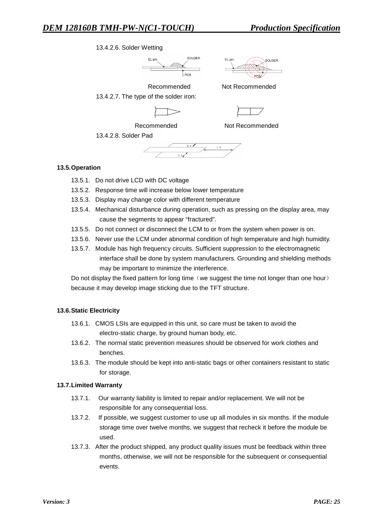### 13.4.2.6. Solder Wetting





Recommended Not Recommended 13.4.2.7. The type of the solder iron:



Recommended Not Recommended

13.4.2.8. Solder Pad

#### **13.5.Operation**

- 13.5.1. Do not drive LCD with DC voltage
- 13.5.2. Response time will increase below lower temperature
- 13.5.3. Display may change color with different temperature
- 13.5.4. Mechanical disturbance during operation, such as pressing on the display area, may cause the segments to appear "fractured".
- 13.5.5. Do not connect or disconnect the LCM to or from the system when power is on.
- 13.5.6. Never use the LCM under abnormal condition of high temperature and high humidity.
- 13.5.7. Module has high frequency circuits. Sufficient suppression to the electromagnetic interface shall be done by system manufacturers. Grounding and shielding methods may be important to minimize the interference.

Do not display the fixed pattern for long time (we suggest the time not longer than one hour) because it may develop image sticking due to the TFT structure.

### **13.6.Static Electricity**

- 13.6.1. CMOS LSIs are equipped in this unit, so care must be taken to avoid the electro-static charge, by ground human body, etc.
- 13.6.2. The normal static prevention measures should be observed for work clothes and benches.
- 13.6.3. The module should be kept into anti-static bags or other containers resistant to static for storage.

#### **13.7.Limited Warranty**

- 13.7.1. Our warranty liability is limited to repair and/or replacement. We will not be responsible for any consequential loss.
- 13.7.2. If possible, we suggest customer to use up all modules in six months. If the module storage time over twelve months, we suggest that recheck it before the module be used.
- 13.7.3. After the product shipped, any product quality issues must be feedback within three months, otherwise, we will not be responsible for the subsequent or consequential events.